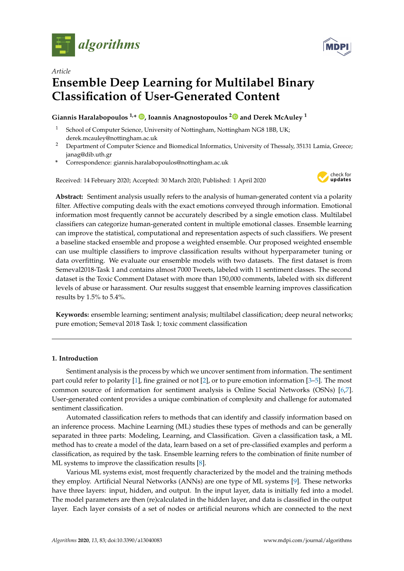



# *Article* **Ensemble Deep Learning for Multilabel Binary Classification of User-Generated Content**

# **Giannis Haralabopoulos 1,\* [,](https://orcid.org/0000-0002-2142-4975) Ioannis Anagnostopoulos [2](https://orcid.org/0000-0002-0832-0522) and Derek McAuley <sup>1</sup>**

- School of Computer Science, University of Nottingham, Nottingham NG8 1BB, UK; derek.mcauley@nottingham.ac.uk
- <sup>2</sup> Department of Computer Science and Biomedical Informatics, University of Thessaly, 35131 Lamia, Greece; janag@dib.uth.gr
- **\*** Correspondence: giannis.haralabopoulos@nottingham.ac.uk

Received: 14 February 2020; Accepted: 30 March 2020; Published: 1 April 2020



**Abstract:** Sentiment analysis usually refers to the analysis of human-generated content via a polarity filter. Affective computing deals with the exact emotions conveyed through information. Emotional information most frequently cannot be accurately described by a single emotion class. Multilabel classifiers can categorize human-generated content in multiple emotional classes. Ensemble learning can improve the statistical, computational and representation aspects of such classifiers. We present a baseline stacked ensemble and propose a weighted ensemble. Our proposed weighted ensemble can use multiple classifiers to improve classification results without hyperparameter tuning or data overfitting. We evaluate our ensemble models with two datasets. The first dataset is from Semeval2018-Task 1 and contains almost 7000 Tweets, labeled with 11 sentiment classes. The second dataset is the Toxic Comment Dataset with more than 150,000 comments, labeled with six different levels of abuse or harassment. Our results suggest that ensemble learning improves classification results by 1.5% to 5.4%.

**Keywords:** ensemble learning; sentiment analysis; multilabel classification; deep neural networks; pure emotion; Semeval 2018 Task 1; toxic comment classification

# **1. Introduction**

Sentiment analysis is the process by which we uncover sentiment from information. The sentiment part could refer to polarity [\[1\]](#page-9-0), fine grained or not [\[2\]](#page-9-1), or to pure emotion information [\[3](#page-9-2)[–5\]](#page-9-3). The most common source of information for sentiment analysis is Online Social Networks (OSNs) [\[6,](#page-9-4)[7\]](#page-9-5). User-generated content provides a unique combination of complexity and challenge for automated sentiment classification.

Automated classification refers to methods that can identify and classify information based on an inference process. Machine Learning (ML) studies these types of methods and can be generally separated in three parts: Modeling, Learning, and Classification. Given a classification task, a ML method has to create a model of the data, learn based on a set of pre-classified examples and perform a classification, as required by the task. Ensemble learning refers to the combination of finite number of ML systems to improve the classification results [\[8\]](#page-9-6).

Various ML systems exist, most frequently characterized by the model and the training methods they employ. Artificial Neural Networks (ANNs) are one type of ML systems [\[9\]](#page-10-0). These networks have three layers: input, hidden, and output. In the input layer, data is initially fed into a model. The model parameters are then (re)calculated in the hidden layer, and data is classified in the output layer. Each layer consists of a set of nodes or artificial neurons which are connected to the next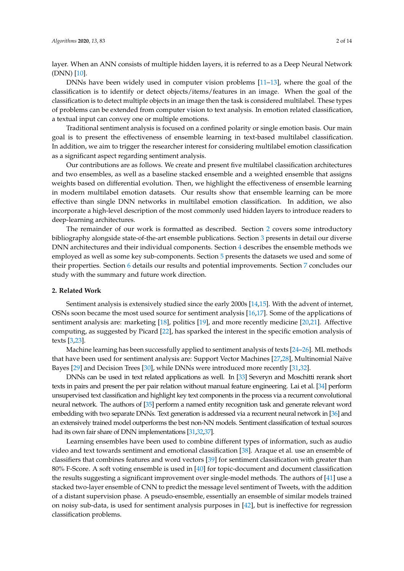layer. When an ANN consists of multiple hidden layers, it is referred to as a Deep Neural Network (DNN) [\[10\]](#page-10-1).

DNNs have been widely used in computer vision problems [\[11](#page-10-2)[–13\]](#page-10-3), where the goal of the classification is to identify or detect objects/items/features in an image. When the goal of the classification is to detect multiple objects in an image then the task is considered multilabel. These types of problems can be extended from computer vision to text analysis. In emotion related classification, a textual input can convey one or multiple emotions.

Traditional sentiment analysis is focused on a confined polarity or single emotion basis. Our main goal is to present the effectiveness of ensemble learning in text-based multilabel classification. In addition, we aim to trigger the researcher interest for considering multilabel emotion classification as a significant aspect regarding sentiment analysis.

Our contributions are as follows. We create and present five multilabel classification architectures and two ensembles, as well as a baseline stacked ensemble and a weighted ensemble that assigns weights based on differential evolution. Then, we highlight the effectiveness of ensemble learning in modern multilabel emotion datasets. Our results show that ensemble learning can be more effective than single DNN networks in multilabel emotion classification. In addition, we also incorporate a high-level description of the most commonly used hidden layers to introduce readers to deep-learning architectures.

The remainder of our work is formatted as described. Section [2](#page-1-0) covers some introductory bibliography alongside state-of-the-art ensemble publications. Section [3](#page-2-0) presents in detail our diverse DNN architectures and their individual components. Section [4](#page-4-0) describes the ensemble methods we employed as well as some key sub-components. Section [5](#page-6-0) presents the datasets we used and some of their properties. Section [6](#page-8-0) details our results and potential improvements. Section [7](#page-9-7) concludes our study with the summary and future work direction.

#### <span id="page-1-0"></span>**2. Related Work**

Sentiment analysis is extensively studied since the early 2000s [\[14](#page-10-4)[,15\]](#page-10-5). With the advent of internet, OSNs soon became the most used source for sentiment analysis [\[16,](#page-10-6)[17\]](#page-10-7). Some of the applications of sentiment analysis are: marketing [\[18\]](#page-10-8), politics [\[19\]](#page-10-9), and more recently medicine [\[20,](#page-10-10)[21\]](#page-10-11). Affective computing, as suggested by Picard [\[22\]](#page-10-12), has sparked the interest in the specific emotion analysis of texts [\[3](#page-9-2)[,23\]](#page-10-13).

Machine learning has been successfully applied to sentiment analysis of texts [\[24–](#page-10-14)[26\]](#page-10-15). ML methods that have been used for sentiment analysis are: Support Vector Machines [\[27](#page-10-16)[,28\]](#page-10-17), Multinomial Naïve Bayes [\[29\]](#page-10-18) and Decision Trees [\[30\]](#page-11-0), while DNNs were introduced more recently [\[31,](#page-11-1)[32\]](#page-11-2).

DNNs can be used in text related applications as well. In [\[33\]](#page-11-3) Severyn and Moschitti rerank short texts in pairs and present the per pair relation without manual feature engineering. Lai et al. [\[34\]](#page-11-4) perform unsupervised text classification and highlight key text components in the process via a recurrent convolutional neural network. The authors of [\[35\]](#page-11-5) perform a named entity recognition task and generate relevant word embedding with two separate DNNs. Text generation is addressed via a recurrent neural network in [\[36\]](#page-11-6) and an extensively trained model outperforms the best non-NN models. Sentiment classification of textual sources had its own fair share of DNN implementations [\[31](#page-11-1)[,32,](#page-11-2)[37\]](#page-11-7).

Learning ensembles have been used to combine different types of information, such as audio video and text towards sentiment and emotional classification [\[38\]](#page-11-8). Araque et al. use an ensemble of classifiers that combines features and word vectors [\[39\]](#page-11-9) for sentiment classification with greater than 80% F-Score. A soft voting ensemble is used in [\[40\]](#page-11-10) for topic-document and document classification the results suggesting a significant improvement over single-model methods. The authors of [\[41\]](#page-11-11) use a stacked two-layer ensemble of CNN to predict the message level sentiment of Tweets, with the addition of a distant supervision phase. A pseudo-ensemble, essentially an ensemble of similar models trained on noisy sub-data, is used for sentiment analysis purposes in [\[42\]](#page-11-12), but is ineffective for regression classification problems.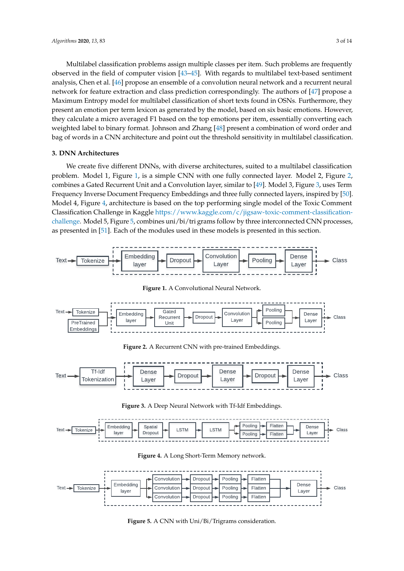Multilabel classification problems assign multiple classes per item. Such problems are frequently observed in the field of computer vision [\[43](#page-11-13)[–45\]](#page-11-14). With regards to multilabel text-based sentiment analysis, Chen et al. [\[46\]](#page-11-15) propose an ensemble of a convolution neural network and a recurrent neural network for feature extraction and class prediction correspondingly. The authors of [\[47\]](#page-11-16) propose a Maximum Entropy model for multilabel classification of short texts found in OSNs. Furthermore, they present an emotion per term lexicon as generated by the model, based on six basic emotions. However, they calculate a micro averaged F1 based on the top emotions per item, essentially converting each weighted label to binary format. Johnson and Zhang [\[48\]](#page-11-17) present a combination of word order and bag of words in a CNN architecture and point out the threshold sensitivity in multilabel classification.

## <span id="page-2-0"></span>**3. DNN Architectures**

We create five different DNNs, with diverse architectures, suited to a multilabel classification problem. Model 1, Figure [1,](#page-2-1) is a simple CNN with one fully connected layer. Model 2, Figure [2,](#page-2-2) combines a Gated Recurrent Unit and a Convolution layer, similar to [\[49\]](#page-12-0). Model 3, Figure [3,](#page-2-3) uses Term Frequency Inverse Document Frequency Embeddings and three fully connected layers, inspired by [\[50\]](#page-12-1). Model 4, Figure [4,](#page-2-4) architecture is based on the top performing single model of the Toxic Comment Classification Challenge in Kaggle [https://www.kaggle.com/c/jigsaw-toxic-comment-classification](https://www.kaggle.com/c/jigsaw-toxic-comment-classification-challenge)[challenge.](https://www.kaggle.com/c/jigsaw-toxic-comment-classification-challenge) Model 5, Figure [5,](#page-2-5) combines uni/bi/tri grams follow by three interconnected CNN processes, as presented in [\[51\]](#page-12-2). Each of the modules used in these models is presented in this section.

<span id="page-2-2"></span><span id="page-2-1"></span>

<span id="page-2-4"></span><span id="page-2-3"></span>

**Figure 4.** A Long Short-Term Memory network.

<span id="page-2-5"></span>

**Figure 5.** A CNN with Uni/Bi/Trigrams consideration.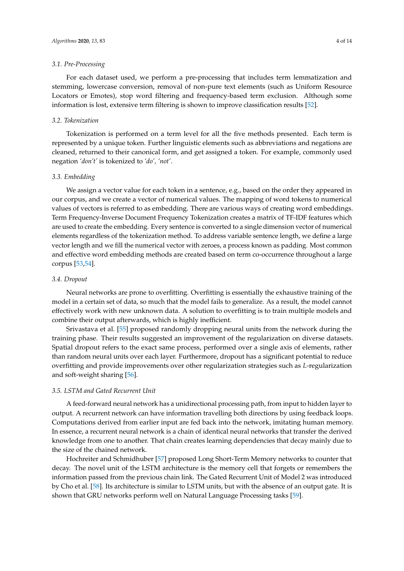### *3.1. Pre-Processing*

For each dataset used, we perform a pre-processing that includes term lemmatization and stemming, lowercase conversion, removal of non-pure text elements (such as Uniform Resource Locators or Emotes), stop word filtering and frequency-based term exclusion. Although some information is lost, extensive term filtering is shown to improve classification results [\[52\]](#page-12-3).

#### *3.2. Tokenization*

Tokenization is performed on a term level for all the five methods presented. Each term is represented by a unique token. Further linguistic elements such as abbreviations and negations are cleaned, returned to their canonical form, and get assigned a token. For example, commonly used negation *'don't'* is tokenized to *'do', 'not'*.

## *3.3. Embedding*

We assign a vector value for each token in a sentence, e.g., based on the order they appeared in our corpus, and we create a vector of numerical values. The mapping of word tokens to numerical values of vectors is referred to as embedding. There are various ways of creating word embeddings. Term Frequency-Inverse Document Frequency Tokenization creates a matrix of TF-IDF features which are used to create the embedding. Every sentence is converted to a single dimension vector of numerical elements regardless of the tokenization method. To address variable sentence length, we define a large vector length and we fill the numerical vector with zeroes, a process known as padding. Most common and effective word embedding methods are created based on term co-occurrence throughout a large corpus [\[53](#page-12-4)[,54\]](#page-12-5).

## *3.4. Dropout*

Neural networks are prone to overfitting. Overfitting is essentially the exhaustive training of the model in a certain set of data, so much that the model fails to generalize. As a result, the model cannot effectively work with new unknown data. A solution to overfitting is to train multiple models and combine their output afterwards, which is highly inefficient.

Srivastava et al. [\[55\]](#page-12-6) proposed randomly dropping neural units from the network during the training phase. Their results suggested an improvement of the regularization on diverse datasets. Spatial dropout refers to the exact same process, performed over a single axis of elements, rather than random neural units over each layer. Furthermore, dropout has a significant potential to reduce overfitting and provide improvements over other regularization strategies such as *L*-regularization and soft-weight sharing [\[56\]](#page-12-7).

# *3.5. LSTM and Gated Recurrent Unit*

A feed-forward neural network has a unidirectional processing path, from input to hidden layer to output. A recurrent network can have information travelling both directions by using feedback loops. Computations derived from earlier input are fed back into the network, imitating human memory. In essence, a recurrent neural network is a chain of identical neural networks that transfer the derived knowledge from one to another. That chain creates learning dependencies that decay mainly due to the size of the chained network.

Hochreiter and Schmidhuber [\[57\]](#page-12-8) proposed Long Short-Term Memory networks to counter that decay. The novel unit of the LSTM architecture is the memory cell that forgets or remembers the information passed from the previous chain link. The Gated Recurrent Unit of Model 2 was introduced by Cho et al. [\[58\]](#page-12-9). Its architecture is similar to LSTM units, but with the absence of an output gate. It is shown that GRU networks perform well on Natural Language Processing tasks [\[59\]](#page-12-10).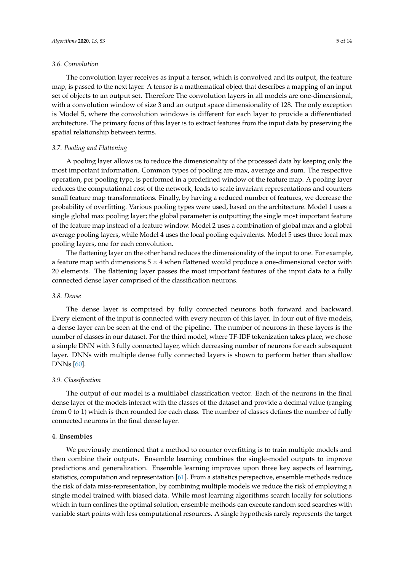#### *3.6. Convolution*

The convolution layer receives as input a tensor, which is convolved and its output, the feature map, is passed to the next layer. A tensor is a mathematical object that describes a mapping of an input set of objects to an output set. Therefore The convolution layers in all models are one-dimensional, with a convolution window of size 3 and an output space dimensionality of 128. The only exception is Model 5, where the convolution windows is different for each layer to provide a differentiated architecture. The primary focus of this layer is to extract features from the input data by preserving the spatial relationship between terms.

# *3.7. Pooling and Flattening*

A pooling layer allows us to reduce the dimensionality of the processed data by keeping only the most important information. Common types of pooling are max, average and sum. The respective operation, per pooling type, is performed in a predefined window of the feature map. A pooling layer reduces the computational cost of the network, leads to scale invariant representations and counters small feature map transformations. Finally, by having a reduced number of features, we decrease the probability of overfitting. Various pooling types were used, based on the architecture. Model 1 uses a single global max pooling layer; the global parameter is outputting the single most important feature of the feature map instead of a feature window. Model 2 uses a combination of global max and a global average pooling layers, while Model 4 uses the local pooling equivalents. Model 5 uses three local max pooling layers, one for each convolution.

The flattening layer on the other hand reduces the dimensionality of the input to one. For example, a feature map with dimensions  $5 \times 4$  when flattened would produce a one-dimensional vector with 20 elements. The flattening layer passes the most important features of the input data to a fully connected dense layer comprised of the classification neurons.

# *3.8. Dense*

The dense layer is comprised by fully connected neurons both forward and backward. Every element of the input is connected with every neuron of this layer. In four out of five models, a dense layer can be seen at the end of the pipeline. The number of neurons in these layers is the number of classes in our dataset. For the third model, where TF-IDF tokenization takes place, we chose a simple DNN with 3 fully connected layer, which decreasing number of neurons for each subsequent layer. DNNs with multiple dense fully connected layers is shown to perform better than shallow DNNs [\[60\]](#page-12-11).

#### *3.9. Classification*

The output of our model is a multilabel classification vector. Each of the neurons in the final dense layer of the models interact with the classes of the dataset and provide a decimal value (ranging from 0 to 1) which is then rounded for each class. The number of classes defines the number of fully connected neurons in the final dense layer.

#### <span id="page-4-0"></span>**4. Ensembles**

We previously mentioned that a method to counter overfitting is to train multiple models and then combine their outputs. Ensemble learning combines the single-model outputs to improve predictions and generalization. Ensemble learning improves upon three key aspects of learning, statistics, computation and representation [\[61\]](#page-12-12). From a statistics perspective, ensemble methods reduce the risk of data miss-representation, by combining multiple models we reduce the risk of employing a single model trained with biased data. While most learning algorithms search locally for solutions which in turn confines the optimal solution, ensemble methods can execute random seed searches with variable start points with less computational resources. A single hypothesis rarely represents the target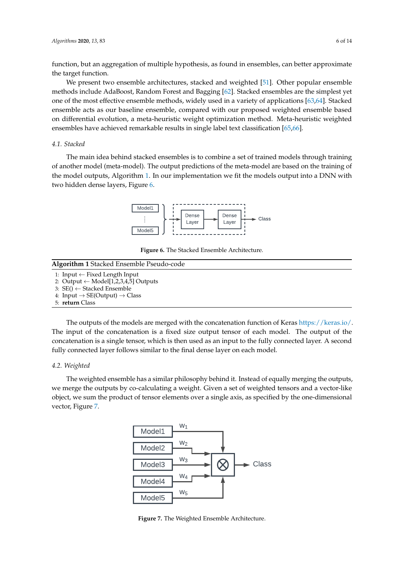function, but an aggregation of multiple hypothesis, as found in ensembles, can better approximate the target function.

We present two ensemble architectures, stacked and weighted [\[51\]](#page-12-2). Other popular ensemble methods include AdaBoost, Random Forest and Bagging [\[62\]](#page-12-13). Stacked ensembles are the simplest yet one of the most effective ensemble methods, widely used in a variety of applications [\[63,](#page-12-14)[64\]](#page-12-15). Stacked ensemble acts as our baseline ensemble, compared with our proposed weighted ensemble based on differential evolution, a meta-heuristic weight optimization method. Meta-heuristic weighted ensembles have achieved remarkable results in single label text classification [\[65](#page-12-16)[,66\]](#page-12-17).

# *4.1. Stacked*

<span id="page-5-1"></span>The main idea behind stacked ensembles is to combine a set of trained models through training of another model (meta-model). The output predictions of the meta-model are based on the training of the model outputs, Algorithm [1.](#page-5-0) In our implementation we fit the models output into a DNN with two hidden dense layers, Figure [6.](#page-5-1)



**Figure 6.** The Stacked Ensemble Architecture.

# <span id="page-5-0"></span>**Algorithm 1** Stacked Ensemble Pseudo-code

- 1: Input ← Fixed Length Input
- 2: Output  $\leftarrow$  Model[1,2,3,4,5] Outputs
- 3:  $SE() \leftarrow Steed Ensemble$
- 4: Input  $\rightarrow$  SE(Output)  $\rightarrow$  Class
- 5: **return** Class

The outputs of the models are merged with the concatenation function of Keras [https://keras.io/.](https://keras.io/) The input of the concatenation is a fixed size output tensor of each model. The output of the concatenation is a single tensor, which is then used as an input to the fully connected layer. A second fully connected layer follows similar to the final dense layer on each model.

## *4.2. Weighted*

<span id="page-5-2"></span>The weighted ensemble has a similar philosophy behind it. Instead of equally merging the outputs, we merge the outputs by co-calculating a weight. Given a set of weighted tensors and a vector-like object, we sum the product of tensor elements over a single axis, as specified by the one-dimensional vector, Figure [7.](#page-5-2)



**Figure 7.** The Weighted Ensemble Architecture.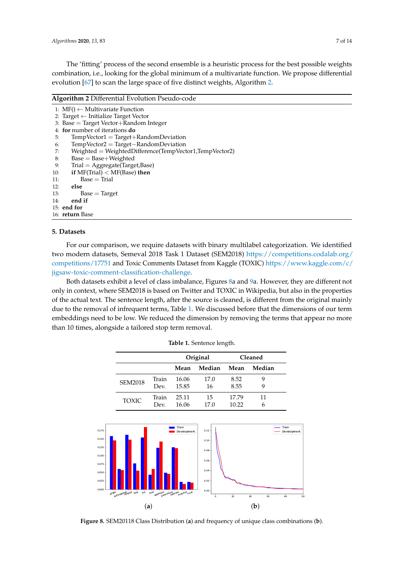The 'fitting' process of the second ensemble is a heuristic process for the best possible weights combination, i.e., looking for the global minimum of a multivariate function. We propose differential evolution [\[67\]](#page-12-18) to scan the large space of five distinct weights, Algorithm [2.](#page-6-1)

#### <span id="page-6-1"></span>**Algorithm 2** Differential Evolution Pseudo-code

anger er<br>anticipation gust fear joy love optimism<sub>oessim</sub> sm<sub>sadne</sub> sm<br>sadness s<sub>surprise</sup> tr</sub> trust

(**a**)

<span id="page-6-2"></span> $0.000 +$  $0.025$  $0.0$ 0.075 0.100 0.125 0.150 0.175

|                        | 1: $MF() \leftarrow Multivariate Function$             |  |  |  |  |  |
|------------------------|--------------------------------------------------------|--|--|--|--|--|
|                        | 2: Target $\leftarrow$ Initialize Target Vector        |  |  |  |  |  |
|                        | 3: Base = Target Vector+Random Integer                 |  |  |  |  |  |
|                        | 4: for number of iterations do                         |  |  |  |  |  |
| 5:                     | $TempVector1 = Target+RandomDeviation$                 |  |  |  |  |  |
| 6:                     | $TempVector2 = Target-RandomDeviation$                 |  |  |  |  |  |
| 7:                     | Weighted = WeightedDifference(TempVector1,TempVector2) |  |  |  |  |  |
| 8:                     | $Base = Base + Weighted$                               |  |  |  |  |  |
| 9:                     | $Trial = Aggregate(Target, Base)$                      |  |  |  |  |  |
| 10:                    | if $MF(Trial) < MF(Base)$ then                         |  |  |  |  |  |
| 11:                    | $Base = Trial$                                         |  |  |  |  |  |
| 12:                    | else                                                   |  |  |  |  |  |
| 13:                    | $Base = Target$                                        |  |  |  |  |  |
| 14:                    | end if                                                 |  |  |  |  |  |
|                        | 15: end for                                            |  |  |  |  |  |
| 16: <b>return</b> Base |                                                        |  |  |  |  |  |
|                        |                                                        |  |  |  |  |  |

#### <span id="page-6-0"></span>**5. Datasets**

For our comparison, we require datasets with binary multilabel categorization. We identified two modern datasets, Semeval 2018 Task 1 Dataset (SEM2018) [https://competitions.codalab.org/](https://competitions.codalab.org/competitions/17751) [competitions/17751](https://competitions.codalab.org/competitions/17751) and Toxic Comments Dataset from Kaggle (TOXIC) [https://www.kaggle.com/c/](https://www.kaggle.com/c/jigsaw-toxic-comment-classification-challenge) [jigsaw-toxic-comment-classification-challenge.](https://www.kaggle.com/c/jigsaw-toxic-comment-classification-challenge)

<span id="page-6-3"></span>Both datasets exhibit a level of class imbalance, Figures [8a](#page-6-2) and [9a](#page-7-0). However, they are different not only in context, where SEM2018 is based on Twitter and TOXIC in Wikipedia, but also in the properties of the actual text. The sentence length, after the source is cleaned, is different from the original mainly due to the removal of infrequent terms, Table [1.](#page-6-3) We discussed before that the dimensions of our term embeddings need to be low. We reduced the dimension by removing the terms that appear no more than 10 times, alongside a tailored stop term removal.

|  |                |       | Original             |                      | Cleaned |        |                      |
|--|----------------|-------|----------------------|----------------------|---------|--------|----------------------|
|  |                |       | Mean                 | Median               | Mean    | Median |                      |
|  | <b>SEM2018</b> | Train | 16.06                | 17.0                 | 8.52    | 9      |                      |
|  |                | Dev.  | 15.85                | 16                   | 8.55    | 9      |                      |
|  | <b>TOXIC</b>   | Train | 25.11                | 15                   | 17.79   | 11     |                      |
|  |                | Dev.  | 16.06                | 17.0                 | 10.22   | 6      |                      |
|  |                |       |                      |                      |         |        |                      |
|  |                |       | Train<br>Development | $0.12 -$             |         |        | Train<br>Development |
|  |                |       |                      | $0.10 -$<br>$0.08 -$ |         |        |                      |
|  |                |       |                      | $0.06 -$             |         |        |                      |

**Table 1.** Sentence length.

**Figure 8.** SEM20118 Class Distribution (**a**) and frequency of unique class combinations (**b**).

0.00 0.02  $0.04 +$ 

0 10 20 30 40 50

(**b**)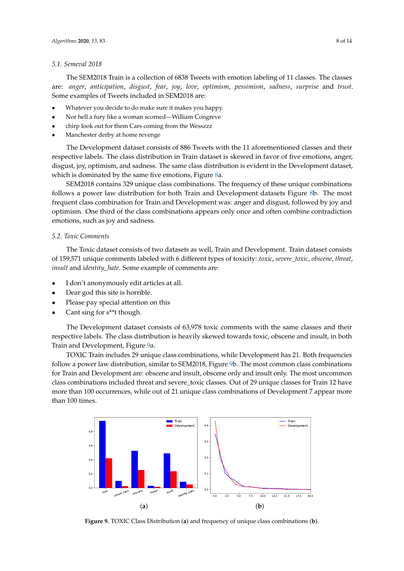#### *5.1. Semeval 2018*

The SEM2018 Train is a collection of 6838 Tweets with emotion labeling of 11 classes. The classes are: *anger*, *anticipation*, *disgust*, *fear*, *joy*, *love*, *optimism*, *pessimism*, *sadness*, *surprise* and *trust*. Some examples of Tweets included in SEM2018 are:

- Whatever you decide to do make sure it makes you happy.
- Nor hell a fury like a woman scorned—William Congreve
- chirp look out for them Cars coming from the Wesszzz
- Manchester derby at home revenge

The Development dataset consists of 886 Tweets with the 11 aforementioned classes and their respective labels. The class distribution in Train dataset is skewed in favor of five emotions, anger, disgust, joy, optimism, and sadness. The same class distribution is evident in the Development dataset, which is dominated by the same five emotions, Figure [8a](#page-6-2).

SEM2018 contains 329 unique class combinations. The frequency of these unique combinations follows a power law distribution for both Train and Development datasets Figure [8b](#page-6-2). The most frequent class combination for Train and Development was: anger and disgust, followed by joy and optimism. One third of the class combinations appears only once and often combine contradiction emotions, such as joy and sadness.

# *5.2. Toxic Comments*

The Toxic dataset consists of two datasets as well, Train and Development. Train dataset consists of 159,571 unique comments labeled with 6 different types of toxicity: *toxic*, *severe\_toxic*, *obscene*, *threat*, *insult* and *identity* hate. Some example of comments are:

- I don't anonymously edit articles at all.
- Dear god this site is horrible.
- Please pay special attention on this
- Cant sing for s\*\*t though.

The Development dataset consists of 63,978 toxic comments with the same classes and their respective labels. The class distribution is heavily skewed towards toxic, obscene and insult, in both Train and Development, Figure [9a](#page-7-0).

TOXIC Train includes 29 unique class combinations, while Development has 21. Both frequencies follow a power law distribution, similar to SEM2018, Figure [9b](#page-7-0). The most common class combinations for Train and Development are: obscene and insult, obscene only and insult only. The most uncommon class combinations included threat and severe toxic classes. Out of 29 unique classes for Train 12 have more than 100 occurrences, while out of 21 unique class combinations of Development 7 appear more than 100 times.

<span id="page-7-0"></span>

**Figure 9.** TOXIC Class Distribution (**a**) and frequency of unique class combinations (**b**).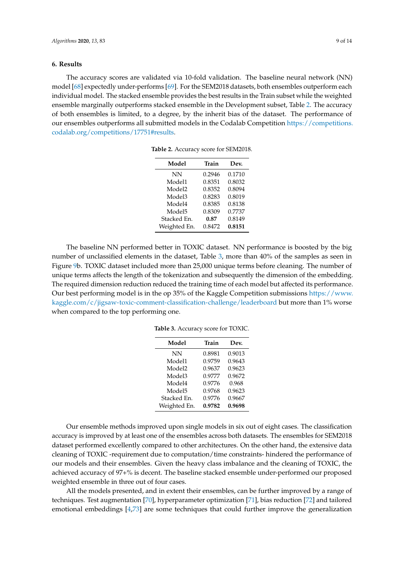## <span id="page-8-0"></span>**6. Results**

<span id="page-8-1"></span>The accuracy scores are validated via 10-fold validation. The baseline neural network (NN) model [\[68\]](#page-12-19) expectedly under-performs [\[69\]](#page-12-20). For the SEM2018 datasets, both ensembles outperform each individual model. The stacked ensemble provides the best results in the Train subset while the weighted ensemble marginally outperforms stacked ensemble in the Development subset, Table [2.](#page-8-1) The accuracy of both ensembles is limited, to a degree, by the inherit bias of the dataset. The performance of our ensembles outperforms all submitted models in the Codalab Competition [https://competitions.](https://competitions.codalab.org/competitions/17751#results) [codalab.org/competitions/17751#results.](https://competitions.codalab.org/competitions/17751#results)

| Model        | Train  | Dev.   |
|--------------|--------|--------|
| NN           | 0.2946 | 0.1710 |
| Model1       | 0.8351 | 0.8032 |
| Model2       | 0.8352 | 0.8094 |
| Model3       | 0.8283 | 0.8019 |
| Model4       | 0.8385 | 0.8138 |
| Model5       | 0.8309 | 0.7737 |
| Stacked En.  | 0.87   | 0.8149 |
| Weighted En. | 0.8472 | 0.8151 |

**Table 2.** Accuracy score for SEM2018.

<span id="page-8-2"></span>The baseline NN performed better in TOXIC dataset. NN performance is boosted by the big number of unclassified elements in the dataset, Table [3,](#page-8-2) more than 40% of the samples as seen in Figure [9b](#page-7-0). TOXIC dataset included more than 25,000 unique terms before cleaning. The number of unique terms affects the length of the tokenization and subsequently the dimension of the embedding. The required dimension reduction reduced the training time of each model but affected its performance. Our best performing model is in the op 35% of the Kaggle Competition submissions [https://www.](https://www.kaggle.com/c/jigsaw-toxic-comment-classification-challenge/leaderboard) [kaggle.com/c/jigsaw-toxic-comment-classification-challenge/leaderboard](https://www.kaggle.com/c/jigsaw-toxic-comment-classification-challenge/leaderboard) but more than 1% worse when compared to the top performing one.

**Table 3.** Accuracy score for TOXIC.

| Model              | Train  | Dev.   |
|--------------------|--------|--------|
| NN                 | 0.8981 | 0.9013 |
| Model1             | 0.9759 | 0.9643 |
| Model <sub>2</sub> | 0.9637 | 0.9623 |
| Model3             | 0.9777 | 0.9672 |
| Model4             | 0.9776 | 0.968  |
| Model <sub>5</sub> | 0.9768 | 0.9623 |
| Stacked En.        | 0.9776 | 0.9667 |
| Weighted En.       | 0.9782 | 0.9698 |
|                    |        |        |

Our ensemble methods improved upon single models in six out of eight cases. The classification accuracy is improved by at least one of the ensembles across both datasets. The ensembles for SEM2018 dataset performed excellently compared to other architectures. On the other hand, the extensive data cleaning of TOXIC -requirement due to computation/time constraints- hindered the performance of our models and their ensembles. Given the heavy class imbalance and the cleaning of TOXIC, the achieved accuracy of 97+% is decent. The baseline stacked ensemble under-performed our proposed weighted ensemble in three out of four cases.

All the models presented, and in extent their ensembles, can be further improved by a range of techniques. Test augmentation [\[70\]](#page-12-21), hyperparameter optimization [\[71\]](#page-12-22), bias reduction [\[72\]](#page-13-0) and tailored emotional embeddings [\[4,](#page-9-8)[73\]](#page-13-1) are some techniques that could further improve the generalization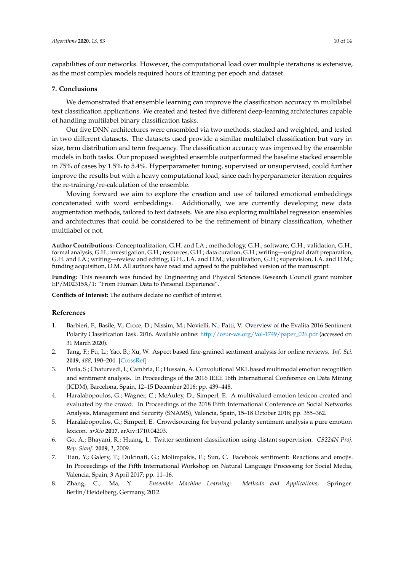capabilities of our networks. However, the computational load over multiple iterations is extensive, as the most complex models required hours of training per epoch and dataset.

# <span id="page-9-7"></span>**7. Conclusions**

We demonstrated that ensemble learning can improve the classification accuracy in multilabel text classification applications. We created and tested five different deep-learning architectures capable of handling multilabel binary classification tasks.

Our five DNN architectures were ensembled via two methods, stacked and weighted, and tested in two different datasets. The datasets used provide a similar multilabel classification but vary in size, term distribution and term frequency. The classification accuracy was improved by the ensemble models in both tasks. Our proposed weighted ensemble outperformed the baseline stacked ensemble in 75% of cases by 1.5% to 5.4%. Hyperparameter tuning, supervised or unsupervised, could further improve the results but with a heavy computational load, since each hyperparameter iteration requires the re-training/re-calculation of the ensemble.

Moving forward we aim to explore the creation and use of tailored emotional embeddings concatenated with word embeddings. Additionally, we are currently developing new data augmentation methods, tailored to text datasets. We are also exploring multilabel regression ensembles and architectures that could be considered to be the refinement of binary classification, whether multilabel or not.

**Author Contributions:** Conceptualization, G.H. and I.A.; methodology, G.H.; software, G.H.; validation, G.H.; formal analysis, G.H.; investigation, G.H.; resources, G.H.; data curation, G.H.; writing—original draft preparation, G.H. and I.A.; writing—review and editing, G.H., I.A. and D.M.; visualization, G.H.; supervision, I.A. and D.M.; funding acquisition, D.M. All authors have read and agreed to the published version of the manuscript.

**Funding:** This research was funded by Engineering and Physical Sciences Research Council grant number EP/M02315X/1: "From Human Data to Personal Experience".

**Conflicts of Interest:** The authors declare no conflict of interest.

## **References**

- <span id="page-9-0"></span>1. Barbieri, F.; Basile, V.; Croce, D.; Nissim, M.; Novielli, N.; Patti, V. Overview of the Evalita 2016 Sentiment Polarity Classification Task. 2016. Available online: [http://ceur-ws.org/Vol-1749/paper\\_026.pdf](http://ceur-ws.org/Vol-1749/paper_026.pdf) (accessed on 31 March 2020).
- <span id="page-9-1"></span>2. Tang, F.; Fu, L.; Yao, B.; Xu, W. Aspect based fine-grained sentiment analysis for online reviews. *Inf. Sci.* **2019**, *488*, 190–204. [\[CrossRef\]](http://dx.doi.org/10.1016/j.ins.2019.02.064)
- <span id="page-9-2"></span>3. Poria, S.; Chaturvedi, I.; Cambria, E.; Hussain, A. Convolutional MKL based multimodal emotion recognition and sentiment analysis. In Proceedings of the 2016 IEEE 16th International Conference on Data Mining (ICDM), Barcelona, Spain, 12–15 December 2016; pp. 439–448.
- <span id="page-9-8"></span>4. Haralabopoulos, G.; Wagner, C.; McAuley, D.; Simperl, E. A multivalued emotion lexicon created and evaluated by the crowd. In Proceedings of the 2018 Fifth International Conference on Social Networks Analysis, Management and Security (SNAMS), Valencia, Spain, 15–18 October 2018; pp. 355–362.
- <span id="page-9-3"></span>5. Haralabopoulos, G.; Simperl, E. Crowdsourcing for beyond polarity sentiment analysis a pure emotion lexicon. *arXiv* **2017**, arXiv:1710.04203.
- <span id="page-9-4"></span>6. Go, A.; Bhayani, R.; Huang, L. Twitter sentiment classification using distant supervision. *CS224N Proj. Rep. Stanf.* **2009**, *1*, 2009.
- <span id="page-9-5"></span>7. Tian, Y.; Galery, T.; Dulcinati, G.; Molimpakis, E.; Sun, C. Facebook sentiment: Reactions and emojis. In Proceedings of the Fifth International Workshop on Natural Language Processing for Social Media, Valencia, Spain, 3 April 2017; pp. 11–16.
- <span id="page-9-6"></span>8. Zhang, C.; Ma, Y. *Ensemble Machine Learning: Methods and Applications*; Springer: Berlin/Heidelberg, Germany, 2012.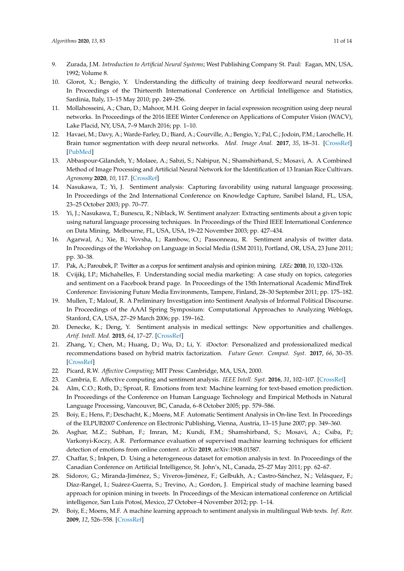- <span id="page-10-0"></span>9. Zurada, J.M. *Introduction to Artificial Neural Systems*; West Publishing Company St. Paul: Eagan, MN, USA, 1992; Volume 8.
- <span id="page-10-1"></span>10. Glorot, X.; Bengio, Y. Understanding the difficulty of training deep feedforward neural networks. In Proceedings of the Thirteenth International Conference on Artificial Intelligence and Statistics, Sardinia, Italy, 13–15 May 2010; pp. 249–256.
- <span id="page-10-2"></span>11. Mollahosseini, A.; Chan, D.; Mahoor, M.H. Going deeper in facial expression recognition using deep neural networks. In Proceedings of the 2016 IEEE Winter Conference on Applications of Computer Vision (WACV), Lake Placid, NY, USA, 7–9 March 2016; pp. 1–10.
- 12. Havaei, M.; Davy, A.; Warde-Farley, D.; Biard, A.; Courville, A.; Bengio, Y.; Pal, C.; Jodoin, P.M.; Larochelle, H. Brain tumor segmentation with deep neural networks. *Med. Image Anal.* **2017**, *35*, 18–31. [\[CrossRef\]](http://dx.doi.org/10.1016/j.media.2016.05.004) [\[PubMed\]](http://www.ncbi.nlm.nih.gov/pubmed/27310171)
- <span id="page-10-3"></span>13. Abbaspour-Gilandeh, Y.; Molaee, A.; Sabzi, S.; Nabipur, N.; Shamshirband, S.; Mosavi, A. A Combined Method of Image Processing and Artificial Neural Network for the Identification of 13 Iranian Rice Cultivars. *Agronomy* **2020**, *10*, 117. [\[CrossRef\]](http://dx.doi.org/10.3390/agronomy10010117)
- <span id="page-10-4"></span>14. Nasukawa, T.; Yi, J. Sentiment analysis: Capturing favorability using natural language processing. In Proceedings of the 2nd International Conference on Knowledge Capture, Sanibel Island, FL, USA, 23–25 October 2003; pp. 70–77.
- <span id="page-10-5"></span>15. Yi, J.; Nasukawa, T.; Bunescu, R.; Niblack, W. Sentiment analyzer: Extracting sentiments about a given topic using natural language processing techniques. In Proceedings of the Third IEEE International Conference on Data Mining, Melbourne, FL, USA, USA, 19–22 November 2003; pp. 427–434.
- <span id="page-10-6"></span>16. Agarwal, A.; Xie, B.; Vovsha, I.; Rambow, O.; Passonneau, R. Sentiment analysis of twitter data. In Proceedings of the Workshop on Language in Social Media (LSM 2011), Portland, OR, USA, 23 June 2011; pp. 30–38.
- <span id="page-10-7"></span>17. Pak, A.; Paroubek, P. Twitter as a corpus for sentiment analysis and opinion mining. *LREc* **2010**, *10*, 1320–1326.
- <span id="page-10-8"></span>18. Cvijikj, I.P.; Michahelles, F. Understanding social media marketing: A case study on topics, categories and sentiment on a Facebook brand page. In Proceedings of the 15th International Academic MindTrek Conference: Envisioning Future Media Environments, Tampere, Finland, 28–30 September 2011; pp. 175–182.
- <span id="page-10-9"></span>19. Mullen, T.; Malouf, R. A Preliminary Investigation into Sentiment Analysis of Informal Political Discourse. In Proceedings of the AAAI Spring Symposium: Computational Approaches to Analyzing Weblogs, Stanford, CA, USA, 27–29 March 2006; pp. 159–162.
- <span id="page-10-10"></span>20. Denecke, K.; Deng, Y. Sentiment analysis in medical settings: New opportunities and challenges. *Artif. Intell. Med.* **2015**, *64*, 17–27. [\[CrossRef\]](http://dx.doi.org/10.1016/j.artmed.2015.03.006)
- <span id="page-10-11"></span>21. Zhang, Y.; Chen, M.; Huang, D.; Wu, D.; Li, Y. iDoctor: Personalized and professionalized medical recommendations based on hybrid matrix factorization. *Future Gener. Comput. Syst.* **2017**, *66*, 30–35. [\[CrossRef\]](http://dx.doi.org/10.1016/j.future.2015.12.001)
- <span id="page-10-12"></span>22. Picard, R.W. *Affective Computing*; MIT Press: Cambridge, MA, USA, 2000.
- <span id="page-10-13"></span>23. Cambria, E. Affective computing and sentiment analysis. *IEEE Intell. Syst.* **2016**, *31*, 102–107. [\[CrossRef\]](http://dx.doi.org/10.1109/MIS.2016.31)
- <span id="page-10-14"></span>24. Alm, C.O.; Roth, D.; Sproat, R. Emotions from text: Machine learning for text-based emotion prediction. In Proceedings of the Conference on Human Language Technology and Empirical Methods in Natural Language Processing, Vancouver, BC, Canada, 6–8 October 2005; pp. 579–586.
- 25. Boiy, E.; Hens, P.; Deschacht, K.; Moens, M.F. Automatic Sentiment Analysis in On-line Text. In Proceedings of the ELPUB2007 Conference on Electronic Publishing, Vienna, Austria, 13–15 June 2007; pp. 349–360.
- <span id="page-10-15"></span>26. Asghar, M.Z.; Subhan, F.; Imran, M.; Kundi, F.M.; Shamshirband, S.; Mosavi, A.; Csiba, P.; Varkonyi-Koczy, A.R. Performance evaluation of supervised machine learning techniques for efficient detection of emotions from online content. *arXiv* **2019**, arXiv:1908.01587.
- <span id="page-10-16"></span>27. Chaffar, S.; Inkpen, D. Using a heterogeneous dataset for emotion analysis in text. In Proceedings of the Canadian Conference on Artificial Intelligence, St. John's, NL, Canada, 25–27 May 2011; pp. 62–67.
- <span id="page-10-17"></span>28. Sidorov, G.; Miranda-Jiménez, S.; Viveros-Jiménez, F.; Gelbukh, A.; Castro-Sánchez, N.; Velásquez, F.; Díaz-Rangel, I.; Suárez-Guerra, S.; Trevino, A.; Gordon, J. Empirical study of machine learning based approach for opinion mining in tweets. In Proceedings of the Mexican international conference on Artificial intelligence, San Luis Potosí, Mexico, 27 October–4 November 2012; pp. 1–14.
- <span id="page-10-18"></span>29. Boiy, E.; Moens, M.F. A machine learning approach to sentiment analysis in multilingual Web texts. *Inf. Retr.* **2009**, *12*, 526–558. [\[CrossRef\]](http://dx.doi.org/10.1007/s10791-008-9070-z)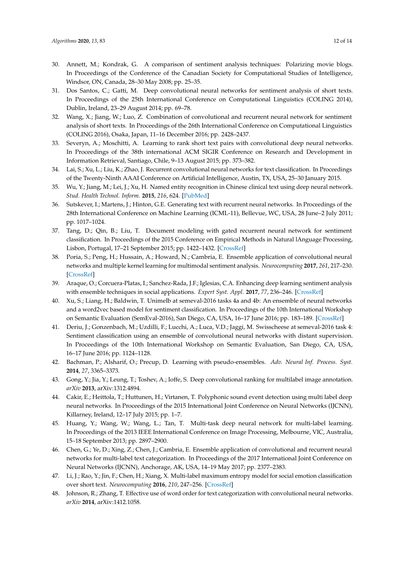- <span id="page-11-0"></span>30. Annett, M.; Kondrak, G. A comparison of sentiment analysis techniques: Polarizing movie blogs. In Proceedings of the Conference of the Canadian Society for Computational Studies of Intelligence, Windsor, ON, Canada, 28–30 May 2008; pp. 25–35.
- <span id="page-11-1"></span>31. Dos Santos, C.; Gatti, M. Deep convolutional neural networks for sentiment analysis of short texts. In Proceedings of the 25th International Conference on Computational Linguistics (COLING 2014), Dublin, Ireland, 23–29 August 2014; pp. 69–78.
- <span id="page-11-2"></span>32. Wang, X.; Jiang, W.; Luo, Z. Combination of convolutional and recurrent neural network for sentiment analysis of short texts. In Proceedings of the 26th International Conference on Computational Linguistics (COLING 2016), Osaka, Japan, 11–16 December 2016; pp. 2428–2437.
- <span id="page-11-3"></span>33. Severyn, A.; Moschitti, A. Learning to rank short text pairs with convolutional deep neural networks. In Proceedings of the 38th international ACM SIGIR Conference on Research and Development in Information Retrieval, Santiago, Chile, 9–13 August 2015; pp. 373–382.
- <span id="page-11-4"></span>34. Lai, S.; Xu, L.; Liu, K.; Zhao, J. Recurrent convolutional neural networks for text classification. In Proceedings of the Twenty-Ninth AAAI Conference on Artificial Intelligence, Austin, TX, USA, 25–30 January 2015.
- <span id="page-11-5"></span>35. Wu, Y.; Jiang, M.; Lei, J.; Xu, H. Named entity recognition in Chinese clinical text using deep neural network. *Stud. Health Technol. Inform.* **2015**, *216*, 624. [\[PubMed\]](http://www.ncbi.nlm.nih.gov/pubmed/26262126)
- <span id="page-11-6"></span>36. Sutskever, I.; Martens, J.; Hinton, G.E. Generating text with recurrent neural networks. In Proceedings of the 28th International Conference on Machine Learning (ICML-11), Bellevue, WC, USA, 28 June–2 July 2011; pp. 1017–1024.
- <span id="page-11-7"></span>37. Tang, D.; Qin, B.; Liu, T. Document modeling with gated recurrent neural network for sentiment classification. In Proceedings of the 2015 Conference on Empirical Methods in Natural lAnguage Processing, Lisbon, Portugal, 17–21 September 2015; pp. 1422–1432. [\[CrossRef\]](http://dx.doi.org/10.18653/v1/D15-1)
- <span id="page-11-8"></span>38. Poria, S.; Peng, H.; Hussain, A.; Howard, N.; Cambria, E. Ensemble application of convolutional neural networks and multiple kernel learning for multimodal sentiment analysis. *Neurocomputing* **2017**, *261*, 217–230. [\[CrossRef\]](http://dx.doi.org/10.1016/j.neucom.2016.09.117)
- <span id="page-11-9"></span>39. Araque, O.; Corcuera-Platas, I.; Sanchez-Rada, J.F.; Iglesias, C.A. Enhancing deep learning sentiment analysis with ensemble techniques in social applications. *Expert Syst. Appl.* **2017**, *77*, 236–246. [\[CrossRef\]](http://dx.doi.org/10.1016/j.eswa.2017.02.002)
- <span id="page-11-10"></span>40. Xu, S.; Liang, H.; Baldwin, T. Unimelb at semeval-2016 tasks 4a and 4b: An ensemble of neural networks and a word2vec based model for sentiment classification. In Proceedings of the 10th International Workshop on Semantic Evaluation (SemEval-2016), San Diego, CA, USA, 16–17 June 2016; pp. 183–189. [\[CrossRef\]](http://dx.doi.org/10.18653/v1/S16-1027)
- <span id="page-11-11"></span>41. Deriu, J.; Gonzenbach, M.; Uzdilli, F.; Lucchi, A.; Luca, V.D.; Jaggi, M. Swisscheese at semeval-2016 task 4: Sentiment classification using an ensemble of convolutional neural networks with distant supervision. In Proceedings of the 10th International Workshop on Semantic Evaluation, San Diego, CA, USA, 16–17 June 2016; pp. 1124–1128.
- <span id="page-11-12"></span>42. Bachman, P.; Alsharif, O.; Precup, D. Learning with pseudo-ensembles. *Adv. Neural Inf. Process. Syst.* **2014**, *27*, 3365–3373.
- <span id="page-11-13"></span>43. Gong, Y.; Jia, Y.; Leung, T.; Toshev, A.; Ioffe, S. Deep convolutional ranking for multilabel image annotation. *arXiv* **2013**, arXiv:1312.4894.
- 44. Cakir, E.; Heittola, T.; Huttunen, H.; Virtanen, T. Polyphonic sound event detection using multi label deep neural networks. In Proceedings of the 2015 International Joint Conference on Neural Networks (IJCNN), Killarney, Ireland, 12–17 July 2015; pp. 1–7.
- <span id="page-11-14"></span>45. Huang, Y.; Wang, W.; Wang, L.; Tan, T. Multi-task deep neural network for multi-label learning. In Proceedings of the 2013 IEEE International Conference on Image Processing, Melbourne, VIC, Australia, 15–18 September 2013; pp. 2897–2900.
- <span id="page-11-15"></span>46. Chen, G.; Ye, D.; Xing, Z.; Chen, J.; Cambria, E. Ensemble application of convolutional and recurrent neural networks for multi-label text categorization. In Proceedings of the 2017 International Joint Conference on Neural Networks (IJCNN), Anchorage, AK, USA, 14–19 May 2017; pp. 2377–2383.
- <span id="page-11-16"></span>47. Li, J.; Rao, Y.; Jin, F.; Chen, H.; Xiang, X. Multi-label maximum entropy model for social emotion classification over short text. *Neurocomputing* **2016**, *210*, 247–256. [\[CrossRef\]](http://dx.doi.org/10.1016/j.neucom.2016.03.088)
- <span id="page-11-17"></span>48. Johnson, R.; Zhang, T. Effective use of word order for text categorization with convolutional neural networks. *arXiv* **2014**, arXiv:1412.1058.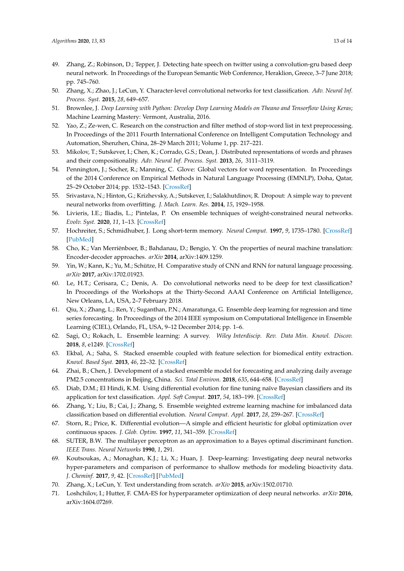- <span id="page-12-0"></span>49. Zhang, Z.; Robinson, D.; Tepper, J. Detecting hate speech on twitter using a convolution-gru based deep neural network. In Proceedings of the European Semantic Web Conference, Heraklion, Greece, 3–7 June 2018; pp. 745–760.
- <span id="page-12-1"></span>50. Zhang, X.; Zhao, J.; LeCun, Y. Character-level convolutional networks for text classification. *Adv. Neural Inf. Process. Syst.* **2015**, *28*, 649–657.
- <span id="page-12-2"></span>51. Brownlee, J. *Deep Learning with Python: Develop Deep Learning Models on Theano and Tensorflow Using Keras*; Machine Learning Mastery: Vermont, Australia, 2016.
- <span id="page-12-3"></span>52. Yao, Z.; Ze-wen, C. Research on the construction and filter method of stop-word list in text preprocessing. In Proceedings of the 2011 Fourth International Conference on Intelligent Computation Technology and Automation, Shenzhen, China, 28–29 March 2011; Volume 1, pp. 217–221.
- <span id="page-12-4"></span>53. Mikolov, T.; Sutskever, I.; Chen, K.; Corrado, G.S.; Dean, J. Distributed representations of words and phrases and their compositionality. *Adv. Neural Inf. Process. Syst.* **2013**, *26*, 3111–3119.
- <span id="page-12-5"></span>54. Pennington, J.; Socher, R.; Manning, C. Glove: Global vectors for word representation. In Proceedings of the 2014 Conference on Empirical Methods in Natural Language Processing (EMNLP), Doha, Qatar, 25–29 October 2014; pp. 1532–1543. [\[CrossRef\]](http://dx.doi.org/10.3115/v1/D14-1)
- <span id="page-12-6"></span>55. Srivastava, N.; Hinton, G.; Krizhevsky, A.; Sutskever, I.; Salakhutdinov, R. Dropout: A simple way to prevent neural networks from overfitting. *J. Mach. Learn. Res.* **2014**, *15*, 1929–1958.
- <span id="page-12-7"></span>56. Livieris, I.E.; Iliadis, L.; Pintelas, P. On ensemble techniques of weight-constrained neural networks. *Evolv. Syst.* **2020**, *11*, 1–13. [\[CrossRef\]](http://dx.doi.org/10.1007/s12530-019-09324-2)
- <span id="page-12-8"></span>57. Hochreiter, S.; Schmidhuber, J. Long short-term memory. *Neural Comput.* **1997**, *9*, 1735–1780. [\[CrossRef\]](http://dx.doi.org/10.1162/neco.1997.9.8.1735) [\[PubMed\]](http://www.ncbi.nlm.nih.gov/pubmed/9377276)
- <span id="page-12-9"></span>58. Cho, K.; Van Merriënboer, B.; Bahdanau, D.; Bengio, Y. On the properties of neural machine translation: Encoder-decoder approaches. *arXiv* **2014**, arXiv:1409.1259.
- <span id="page-12-10"></span>59. Yin, W.; Kann, K.; Yu, M.; Schütze, H. Comparative study of CNN and RNN for natural language processing. *arXiv* **2017**, arXiv:1702.01923.
- <span id="page-12-11"></span>60. Le, H.T.; Cerisara, C.; Denis, A. Do convolutional networks need to be deep for text classification? In Proceedings of the Workshops at the Thirty-Second AAAI Conference on Artificial Intelligence, New Orleans, LA, USA, 2–7 February 2018.
- <span id="page-12-12"></span>61. Qiu, X.; Zhang, L.; Ren, Y.; Suganthan, P.N.; Amaratunga, G. Ensemble deep learning for regression and time series forecasting. In Proceedings of the 2014 IEEE symposium on Computational Intelligence in Ensemble Learning (CIEL), Orlando, FL, USA, 9–12 December 2014; pp. 1–6.
- <span id="page-12-13"></span>62. Sagi, O.; Rokach, L. Ensemble learning: A survey. *Wiley Interdiscip. Rev. Data Min. Knowl. Discov.* **2018**, *8*, e1249. [\[CrossRef\]](http://dx.doi.org/10.1002/widm.1249)
- <span id="page-12-14"></span>63. Ekbal, A.; Saha, S. Stacked ensemble coupled with feature selection for biomedical entity extraction. *Knowl. Based Syst.* **2013**, *46*, 22–32. [\[CrossRef\]](http://dx.doi.org/10.1016/j.knosys.2013.02.008)
- <span id="page-12-15"></span>64. Zhai, B.; Chen, J. Development of a stacked ensemble model for forecasting and analyzing daily average PM2.5 concentrations in Beijing, China. *Sci. Total Environ.* **2018**, *635*, 644–658. [\[CrossRef\]](http://dx.doi.org/10.1016/j.scitotenv.2018.04.040)
- <span id="page-12-16"></span>65. Diab, D.M.; El Hindi, K.M. Using differential evolution for fine tuning naïve Bayesian classifiers and its application for text classification. *Appl. Soft Comput.* **2017**, *54*, 183–199. [\[CrossRef\]](http://dx.doi.org/10.1016/j.asoc.2016.12.043)
- <span id="page-12-17"></span>66. Zhang, Y.; Liu, B.; Cai, J.; Zhang, S. Ensemble weighted extreme learning machine for imbalanced data classification based on differential evolution. *Neural Comput. Appl.* **2017**, *28*, 259–267. [\[CrossRef\]](http://dx.doi.org/10.1007/s00521-016-2342-4)
- <span id="page-12-18"></span>67. Storn, R.; Price, K. Differential evolution—A simple and efficient heuristic for global optimization over continuous spaces. *J. Glob. Optim.* **1997**, *11*, 341–359. [\[CrossRef\]](http://dx.doi.org/10.1023/A:1008202821328)
- <span id="page-12-19"></span>68. SUTER, B.W. The multilayer perceptron as an approximation to a Bayes optimal discriminant function. *IEEE Trans. Neural Networks* **1990**, *1*, 291.
- <span id="page-12-20"></span>69. Koutsoukas, A.; Monaghan, K.J.; Li, X.; Huan, J. Deep-learning: Investigating deep neural networks hyper-parameters and comparison of performance to shallow methods for modeling bioactivity data. *J. Cheminf.* **2017**, *9*, 42. [\[CrossRef\]](http://dx.doi.org/10.1186/s13321-017-0226-y) [\[PubMed\]](http://www.ncbi.nlm.nih.gov/pubmed/29086090)
- <span id="page-12-21"></span>70. Zhang, X.; LeCun, Y. Text understanding from scratch. *arXiv* **2015**, arXiv:1502.01710.
- <span id="page-12-22"></span>71. Loshchilov, I.; Hutter, F. CMA-ES for hyperparameter optimization of deep neural networks. *arXiv* **2016**, arXiv:1604.07269.